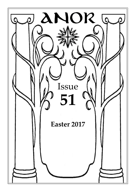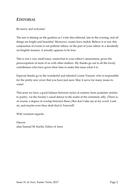## *EDITORIAL*

### Be merry and welcome!

The sun is shining on the gardens as I write this editorial, late in the evening, and all things are bright and beautiful. Moreover, exams have ended. Believe it or not, this conjunction of events is not pathetic fallacy on the part of your editor; in a decidedly un-English manner, it actually appears to be true.

This is not a very small issue, somewhat to your editor's amazement, given the preoccupation of most of us with other matters. My thanks go out to all the lovely contributors who have given their time to make this issue what it is.

Especial thanks go to the wonderful and talented Louise Vincent, who is responsible for the pretty new cover that you have just seen. May it serve for many issues to come!

This term we have a good balance between styles of content, from academic articles to poetry, via the Society's usual detour to the realm of the extremely silly. (There is, of course, a degree of overlap between these.) But don't take me at my word. Look on, and maybe even thou shalt find it. Farewell!

With warmest regards,

Daeron alias Samuel M. Karlin, Editor of Anor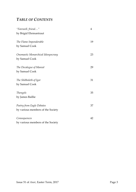# *TABLE OF CONTENTS*

| "Farewell, friend"                 | 4  |
|------------------------------------|----|
| by Brigid Ehrmantraut              |    |
| The Flame Imponderable             | 19 |
| by Samuel Cook                     |    |
| Onomastic Monarchical Idiosyncrasy | 23 |
| by Samuel Cook                     |    |
| The Decalogue of Manwë             | 29 |
| by Samuel Cook                     |    |
| The Shibboleth of Igor             | 31 |
| by Samuel Cook                     |    |
| Thengels                           | 35 |
| by James Baillie                   |    |
| Poetry from Eagle Debates          | 37 |
| by various members of the Society  |    |
| Consequences                       | 42 |
| by various members of the Society  |    |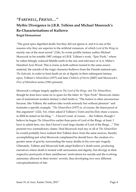# *"FAREWELL, FRIEND…"* **Mythic Divergence in J.R.R. Tolkien and Michael Moorcock's Re-Characterisations of Kullervo Brigid Ehrmantraut**

"The great epics dignified death, but they did not ignore it, and it is one of the reasons why they are superior to the artificial romances, of which *Lord of the Rings* is merely one of the most recent" (126). So wrote prolific fantasy author Michael Moorcock in his notable 1987 critique of J.R.R. Tolkien's work, "Epic Pooh," where he rather bitingly reduced Middle-earth to the size and relevance of A.A. Milne's Hundred Acre Wood. This is ironic as both authors turned to the same source material, the suicide of the tragic character Kullervo from the Finnish national epic, *The Kalevala,* in order to lend death an air of dignity in their subsequent fantasy epics, Tolkien's *Silmarillion* (1977) and later *Children of Húrin* (2007) and Moorcock's *Elric of Melniboné* series (1961-present).

Moorcock's critique largely applies to *The Lord of the Rings,* not *The Silmarillion*, though he does have some ire to spare for the latter. In "Epic Pooh" Moorcock claims one of mainstream modern fantasy's chief faults is, "The humor is often unconscious because, like Tolkien, the authors take words seriously but without pleasure" and footnotes a specific example, "*The Silmarillion* (1977) is, of course, the finest proof of this argument" (122). Yet, when asked if Tolkien's Túrin and his Elric share a source, in 2004 he stated on his blog, "…I haven't read, of course, …the Tolkien, though I believe he began *The Silmarillion* earlier than parts of Lord of the Rings, at least. I have to admit here, too, that I haven't read large chunks of Lord of the Rings…" This presents two contradictory claims. Had Moorcock read any or all of *The Silmarillion*  he would probably have realised that Tolkien drew from the same sources, thereby accomplishing just what Moorcock complained he should have: the creation of a greater sense of gravity surrounding the many deaths in his own epic tragedy. Ultimately, Tolkien and Moorcock both adapt Kullervo's death scene, producing narratives where death is treated with seriousness and dignity, but diverge in their respective portrayals of their (anti)heroes' motivations for suicide and the evolving autonomy allowed to their stories' swords, thus developing two very different conceptualisations of fate.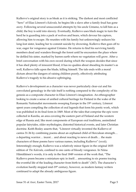Kullervo's original story is as bleak as it is striking. The darkest and most conflicted "hero" of Elias Lönnrot's *Kalevala,* he begins life a slave after a family feud has gone awry. Following several unsuccessful attempts by his uncle Untamo, to kill him as a child, the boy is sold into slavery. Eventually, Kullervo uses black magic to turn the herd he is guarding into a pack of wolves and bears, which devour his captors, allowing him to escape. He reunites with his family but unknowingly seduces his long-lost sister, leading her to commit suicide by drowning. Kullervo then goes off to war, eager for vengeance against Untamo. He returns to find his surviving family members dead and wanders through the forest until he encounters the place where he defiled his sister, marked by barren earth where no vegetation will grow. After a brief conversation with his own sword during which the weapon decides that since it has shed plenty of innocent blood, it has no qualms about sheading its master's as well, Kullervo falls upon the blade, killing himself. The tale ends with a moral dictum about the dangers of raising children poorly, effectively attributing Kullervo's tragedy to his abusive upbringing.

Kullervo's development as a character was never particularly clear-cut and his convoluted genealogy in the tale itself is nothing compared to the complexity of his genesis as a composite character in Elias Lönnrot's imagination. An ethnographer looking to create a sense of unified cultural heritage for Finland in the wake of the Romantic Nationalist movements sweeping Europe in the 19<sup>th</sup> century, Lönnrot spent years compiling the collection of oral legends that form his poetic work, which was published in its final form in 1849. Most of the tales that comprise the epic were collected in Karelia, an area covering the eastern part of Finland and the western edge of Russia and, like most components of European oral traditions, assimilated popular fairytales, older mythologies, distorted historical events, and later Christian doctrine. Keith Bosley asserts that, "Lönnrot virtually invented the Kullervo of cantos 31-36 by combining poems about an orphaned child of Herculean strength… a departing warrior… incest… and about reacting to news of death… the main characters of these poems have various names, including Kullervo" (xxxii). Interestingly enough, Kullervo was a relatively minor figure in the original 1835 edition of *The Kalevala*, confined to one canto of bloody vengeance. In Niina Hämäläinen's words, it is only in the final 1849 version of the work that, "The Kullervo poem became a miniature epic in itself… amounting to six poems tracing the eventful life of the leading character from birth to death" (367). The character's evolution hardly stopped mid-19th century, however, as modern fantasy writers continued to adapt the already ambiguous figure.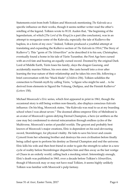Statements exist from both Tolkien and Moorcock mentioning *The Kalevala* as a specific influence on their works, though it seems neither writer read the other's retelling of the legend. Tolkien wrote to W.H. Auden that, "the beginning of the legendarium, of which [*The Lord of the Rings*] is a part (the conclusion), was in an attempt to reorganize some of the Kalevala, especially the tale of Kullervo the hapless, in a form of my own." Indeed, Tolkien produced a youthful attempt at translating and expanding the Kullervo section of *The Kalevala* in 1914 ("The Story of Kullervo"). This "germ of *The Silmarillion*" as he described it to his son, Christopher, eventually found a home in his tale of Túrin Turambar, the First Age hero cursed with an evil fate and bearing an equally cursed sword. Doomed by the original Dark Lord of Middle Earth, Túrin loses his family, slays the dragon Gaurung, and accidentally marries Niënor, his own sister. She casts herself into a river after learning the true nature of their relationship and he takes his own life, following a brief conversation with his "black blade" (*Children* 256). Tolkien solidifies the connection to Finnish myth by calling Túrin, "a figure who might be said… to be derived from elements in Sigurd the Volsung, Oedipus, and the Finnish Kullervo" (*Letters* 150).

Michael Moorcock's *Elric* series, which first appeared in print in 1961, though the occasional story is still being written non-linearly, also displays conscious *Kalevala*  influence. On his blog, Moorcock states, "the Kalevala was read to us at my boarding school when I was about seven." The doomed albino emperor Elric of Melniboné is an avatar of Moorcock's genre-defying Eternal Champion, a hero (or antihero as the case may be) condemned to eternal reincarnation through endless cycles of the Multiverse, Moorcock's series of parallel worlds. The greyest and probably best known of Moorcock's major creations, Elric is dependent on his soul-devouring sword, Stormbringer, for physical vitality. He fails to save his lover and cousin Cymoril from her scheming brother and destroys his own civilisation before finally being called upon to perform his destiny as Eternal Champion and end the universe. Elric kills his wife and then best friend in order to gain the strength to usher in a new cycle of reality before Stormbringer dispatches him and flies away as the last vestige of Chaos in an orderly world, calling back a mocking retort. Interestingly enough, Elric's death was published in 1965, over a decade before Tolkien's *Silmarillion*, though if Moorcock may or may not have read Tolkien, it seems highly unlikely Tolkien was familiar with Moorcock's pulp fantasy.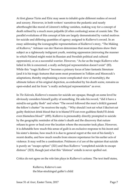At first glance Túrin and Elric may seem to inhabit quite different realms of sword and sorcery. However, in both writers' narratives the pedantic and nearly afterthought-like moral of Lönnrot's telling vanishes, making way for a concept of death refined by a much more palpable (if often confusing) sense of cosmic fate. The parallel evolutions of this concept of fate are largely demonstrated by varied motives for suicide and differing quantities of agency assigned to Kullervo's sword. In an essay addressing the iconographic representations of Kullervo's story, "The Making of Kullervo," Adriaan van der Hoeven determines that most depictions show their subject as a righteously indignant youth, resisting oppression (mirroring the manner in which Finland might resist its Russian and Swedish political and cultural oppression), or as a successful warrior. However, "As far as the tragic Kullervo who failed in life is concerned, a really archetypal representation doesn't exist" (83). While this "tragic Kullervo" becomes a primary focus of later fantastic literature (and it is his tragic features that seem most prominent in Tolkien and Moorcock's adaptations, thereby emphasising a more complicated view of mortality), the ultimate failure of his original depiction, as embodied by his death scene, remains as open-ended and far from "a really archetypal representation" as ever.

In *The Kalevala*, Kullervo's reasons for suicide are opaque, though on some level he obviously considers himself guilty of something. He asks his sword, "did it have a mind/to eat guilty flesh" and when "The sword followed the man's drift/it guessed the fellow's chatter" he receives the reply, "'Why should I not eat what I like/not eat guilty flesh/not drink blood that is to blame?/I'll eat even guiltless flesh/I'll drink even blameless blood'" (495). Kullervo is presumably directly prompted to suicide by the geographic reminder of his sister's death and the discovery that nature refuses to grow or heal over the location where the encounter took place. However, it is debatable how much this sense of guilt is an exclusive response to his incest and his sister's demise, how much it is due to general regret at the rest of his family's recent deaths, and how much results from sincere repentance for his earlier acts of violence. It may well be a combination. Pridmore *et al* are of the opinion that suicide is purely an "escape option" (321) and thus Kullervo "completed suicide to escape distress" (323), though just what this "distress" entails is never spelled out.

Critics do not agree on the role fate plays in Kullervo's actions. The text itself states,

Kullervo, Kalervo's son the blue-stockinged gaffer's child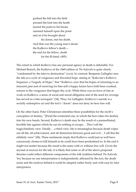pushed the hilt into the field pressed the butt into the heath turned the point to his breast rammed himself upon the point and on it he brought about his doom, met his death. And that was the young man's doom the Kullervo fellow's death the end for the fellow, death

for the ill-fated. (495)

The extent to which Kullervo has any personal agency in death is debatable. For Michael Branch, the Kullervo of the 1849 edition of *The Kalevala* is quite clearly "condemned by the fates to destruction" (xxxi). In contrast, Benjamin Gallagher sees the tale as a cycle of vengeance and thwarted hope, stating in "Kalevala's Kullervo Sequence: a Tragedy of Hope," that "Kullervo, now that his hopes of returning to an innocent past and of receiving for him-self a happy future have both been crushed, returns to the vengeance that began the cycle. While there was no force of fate at work on Kullervo, a sense of social and moral obligation and of the need for revenge has served as a fate-surrogate" (34). Thus, for Gallagher, Kullervo's suicide is a socially redemptive act and the text's "doom" does not deny its hero free will.

On the other hand, Peter Christensen identifies three possibilities for the myth's conception of destiny, "[First] the existential one, in which the hero takes his destiny into his own hands. Second, Kullervo's death may be the result of a premeditated, horrible fate against which he can do nothing to escape… This I call the tragic/fatalistic view. Finally… a third view: life is meaningless because death wipes out all life, all achievement, and all distinction between good and evil… I call this the nihilistic view" (84). These sentiments imply that Kullervo could just as well have consciously chosen to kill himself as he could have been predestined to. In the end it might not matter because the result is the same with or without free will. Given the myriad of sources for the tale, it is likely that some or all of the above proposed theories could reflect different components of the folk tradition behind *The Kalevala*. Yet, because no one interpretation is independently affirmed by the text, the death scene and the motives behind it could be adapted rather freely and with ease by later interpreters.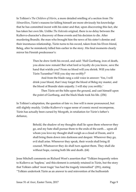In Tolkien's *The Children of Húrin*, a more detailed retelling of a section from *The Silmarillion*, Túrin's reasons for killing himself are more obviously his knowledge that he has committed incest with his sister and that, upon discovering this fact, she has taken her own life. Unlike *The Kalevala* original, there is no delay between the Kullervo-character's discovery of these events and his decision to die. After murdering Brandir, the man who brought him the news of his sister's demise and their incestuous relationship, Túrin turns to his sword, taken from his Elven friend, Beleg, after he mistakenly killed him earlier in the story. His final moments clearly mirror his Finnish predecessor's:

> Then he drew forth his sword, and said: 'Hail Gurthang, iron of death, you alone now remain! But what lord or loyalty do you know, save the hand that wields you? From no blood will you shrink. Will you take Túrin Turambar? Will you slay me swiftly?'

And from the blade rang a cold voice in answer: 'Yes, I will drink your blood, that I may forget the blood of Beleg my master, and the blood of Brandir slain unjustly. I will slay you swiftly.'

Then Túrin set the hilts upon the ground, and cast himself upon the point of Gurthang, and the black blade took his life. (256)

In Tolkien's adaptation, the question of fate vs. free will is more pronounced, but still slightly muddy. Unlike Kullervo's vague sense of cosmic moral recompense, Túrin has actually been cursed by Morgoth, in retaliation for Túrin's father's defiance,

> Behold, the shadow of my thoughts shall lie upon them wherever they go, and my hate shall pursue them to the ends of the earth… upon all whom you love my thought shall weigh as a cloud of Doom, and it shall bring them down into darkness and despair. Wherever they go, evil shall arise. Whenever they speak, their words shall bring ill counsel. Whatsoever they do shall turn against them. They shall die without hope, cursing both life and death. (64)

Jesse Mitchell comments on Richard West's assertion that "Tolkien frequently refers to Kullervo as 'hapless,' and this element is certainly retained in Túrin, but the story that Tolkien called 'most tragic' has had the tragedy intensified" (291), stating "Tolkien undertook Túrin as an answer to and reinvention of the buffoonish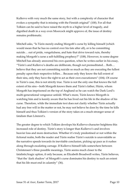Kullervo with very much the same story, but with a complexity of character that evokes a sympathy that is missing with the Finnish original" (100). For all that Tolkien can be said to have raised the myth to a higher level of tragedy, and dignified death in a way even Moorcock might approve of, the issue of destiny remains problematic.

Mitchell asks, "Is Túrin merely ending Morgoth's curse by killing himself (which would mean that he has no control over his fate after all), or is he committing suicide… out of pride, vengefulness, and hate that drive toward ruin, thereby making Morgoth's curse a self-fulfilling prophecy?" (108). However, to some degree Mitchell has already answered his own question, when he writes earlier in his essay, "Túrin's and Kullervo's deaths are deliberate, though not premeditated… Both… believe that they are not committing suicide so much as they are executing the fullest penalty upon their respective follies… Because only they know the full extent of their sins, only they have the right to act as their own executioners" (104). Of course in Túrin's case, this is not strictly true. Túrin is not the only one that knows the full extent of his sins—both Morgoth knows them and Túrin's father, Húrin, whom Morgoth has imprisoned on the top of Angband so he can watch the Dark Lord's multi-generational vengeance unfold. What's more, Túrin knows Morgoth is watching him and is keenly aware that he has lived out his life in the shadow of his curse. Therefore, while the immediate text does not clarify whether Túrin actually had any free will in the matter or not, he may not believe he does by the time he kills himself and thus Tolkien's version of the story takes on a much stronger sense of fatalism than Lönnrot's.

The greater degree to which Tolkien develops his Kullervo-character heightens this increased role of destiny. Túrin's story is longer than Kullervo's and involves heavier loss and more destruction. Whether it's truly predestined or not within the fictional realm, both the reader and Túrin realise Túrin's suicide is unavoidable as the narrative speeds towards its inevitable conclusion, picking up pace as it rushes along through escalating carnage. If Kullervo himself falls somewhere between Christensen's three possible meanings, Túrin seems much closer to the fatalistic/tragic option, if only because, as Elizabeth Broadwell writes, Túrin believes, "that the 'dark shadow' of Morgoth's curse dominates his destiny to such an extent that his life must end in calamity" (36).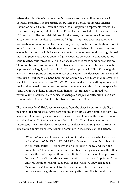Where the role of fate is disputed in *The Kalevala* itself and still under debate in Tolkien's retelling, it seems utterly inscrutable in Michael Moorcock's Eternal Champion series. Colin Greenland terms the Champion, "a representative, not just of a cause or a people, but of mankind. Eternally reincarnated, he becomes an aspect of Everyman… The hero risks himself for the cause, but can never win or lose altogether… Nor is it always a meaningful fight" (125). The brooding ruler of a decidedly nonhuman race, Elric himself may or may not be accurately characterised as an "Everyman," but the fundamental confusion as to his role in more universal events is common to all his incarnations. As far as the series contains a tangible goal, the Champion's purpose is often to fight or mediate between the amorphous and equally dangerous forces of Law and Chaos in order to reach some sort of balance. This equilibrium is commonly referred to as the Cosmic Balance, but its true nature is presented as largely unknowable. As Greenland phrases it, "The efforts of gods and men are as grains of sand in one pan or the other. The idea seems impartial and reassuring—but there is a hand holding the Cosmic Balance. Does that determine its vacillations, or is there free will?" (127). We never really learn anything more about the Hand in question and what the reader does manage to glean from the sprawling series about the Balance is, more often than not, contradictory or tinged with narrative unreliability. Fate is subject to change as sequels dictate, but it is seldom obvious which timeline(s) of the Multiverse have been altered.

The true tragedy of Elric's sequence comes from the sheer incomprehensibility of meaning on a grand scale. After participating in an apocalyptic battle between Law and Chaos that destroys and remakes the earth, Elric stands on the brink of a new world and asks, "But what is the meaning of it all?... That I have never fully understood" (646). He does not receive a particularly elucidating answer from the object of his query, an enigmatic being nominally in the service of the Balance.

"Who can? Who can know why the Cosmic Balance exists, why Fate exists and the Lords of the Higher Worlds? Why there must always be a champion to fight such battles? There seems to be an infinity of space and time and possibilities. There may be an infinite number of beings, one above the other, who see the final purpose, though in infinity, there can be no final purpose. Perhaps all is cyclic and this same event will occur again and again until the universe is run down and fades away as the world we knew has faded. Meaning, Elric? Do not seek for that, for madness lies in such a course… Perhaps even the gods seek meaning and pattern and this is merely one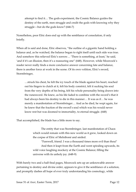attempt to find it… The gods experiment, the Cosmic Balance guides the destiny of the earth, men struggle and credit the gods with knowing why they struggle—but do the gods know? (646-7)

Nonetheless, poor Elric does end up with the semblance of consolation, if only briefly.

When all is said and done, Elric observes, "the outline of a gigantic hand holding a balance and, as he watched, the balance began to right itself until each side was true. And somehow this relieved Elric's sorrow… 'There is something, at least,' he said, 'and if it's an illusion, then it's a reassuring one" (648). However, while Moorcock's reader never really finds a more conclusive answer concerning fate and balance, there is another force at work in the scene. Of its own volition, Elric's sword, Stormbringer,

…struck his chest, he felt the icy touch of the blade against his heart, reached out his fingers to clutch at it, felt his body constrict, felt it sucking his soul from the very depths of his being, felt his whole personality being drawn into the runesword. He knew, as his life faded to combine with the sword's that it had always been his destiny to die in this manner… It was as if… he was merely a manifestation of Stormbringer… And as he died, he wept again, for he knew that the fraction of the sword's soul which was his would never know rest but was doomed to immortality, to eternal struggle. (648)

That accomplished, the blade has a little more to say.

The entity that was Stormbringer, last manifestation of Chaos which would remain with this new world as it grew, looked down on the corpse of Elric of Melniboné and smiled.

"Farewell, friend. I was a thousand times more evil than thou!' And then it leapt from the Earth and went spiraling upwards, its wild voice laughing mockery at the Cosmic Balance; filling the universe with its unholy joy. (648-9)

With barely two and a half final pages, Moorcock sets up an unknowable answer pertaining to destiny and divine order, appears to give it the semblance of a solution, and promptly dashes all hope of ever truly understanding his cosmology, while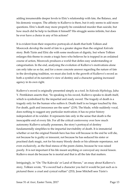adding innumerable deeper levels to Elric's relationship with fate, the Balance, and his demonic weapon. The affinity to Kullervo is there, but it only seems to add more questions. Elric's death may more properly be considered murder than suicide, but how much did he help to facilitate it himself? His struggle seems infinite, but does he ever have a choice in any of his actions?

It is evident from their respective portrayals of death that both Tolkien and Moorcock develop the motif of fate to a greater degree than the original *Kalevala*  story. Both Túrin and Elric die with some modicum of dignity, but where Tolkien enlarges this theme to create a tragic hero who believes he is trapped in an ordained course of action, Moorcock produces a world that defies easy understanding or categorisation. In the end, analysing the evolution of Kullervo's motivations alone can only take us so far, and for a more concrete answer regarding the nature of fate in the developing tradition, we must also look to the growth of Kullervo's sword as both a symbol of its narrative's view of destiny and a character gaining increased agency in its own right.

Kullervo's sword is originally presented simply as a tool. In *Kalevala Mythology,* Juha Y. Pentikänen asserts that, "In speaking to his sword, Kullervo speaks to death itself, which is symbolized by the impartial and ready sword. The tragedy of death is a tragedy only for the human who suffers it. Death itself is no longer touched by this. For death, guilt and innocence are the same" (219). The blade, while suddenly vocal, does nothing to suggest any particular motivation; it has no prior history independent of its wielder. It represents fate only in the sense that death is the inescapable end of every life. For all the critical controversy over how much autonomy Kullervo actually possesses, the story's portrayal of destiny fundamentally simplifies to the impartial inevitability of death. It is immaterial whether or not the original Finnish hero has free will because in the end he will die, not because he is guilty or innocent, not because he has seduced his sister or practised dark magic, not for his many bloody deeds or his ultimate repentance, not even exclusively, as the final stanza of the poem claims, because he was raised poorly. It is not important if his life meant anything or conveyed any moral lesson. Kullervo must die because he is mortal and that is all the fate that matters.

Intriguingly, in "On 'The Kalevala' or Land of Heroes," an essay about Kullervo's story, Tolkien wrote, "If a sword had a character you feel it would be just such as is pictured there: a cruel and cynical ruffian" (253). Jesse Mitchell sees Túrin's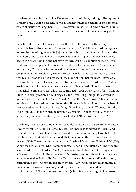Gurthang as a symbol, much like Kullervo's unnamed blade, writing, "The replies of [Kullervo and Túrin's] respective swords illustrate their projections of their internal voices of justice accusing them" (104). However, unlike *The Kalevala's* sword, Túrin's weapon is not merely a reflection of his own conscience, but has a backstory of its own.

In fact, while Richard C. West identifies the role of the sword as the strongest parallel between Kullervo and Túrin's narratives, as "the talking sword that agrees to take the despairing hero's life [is] something which… happens only in the stories of Kullervo and Túrin, and is a powerful scene in both" (292), Tolkien has already begun to depart from the original myth by furnishing his adaption of the "ruffian" blade with an independent history. Rather like the Germanic sword Tyrfing, forged for revenge, Gurthang's beginnings do not bode well for its future masters. Originally termed Anglachel, *The Silmarillion* reveals that it "was a sword of great worth and it was so named because it was made of iron that fell from heaven as a blazing star; it would cleave all earth-delved iron. One other sword only in Middleearth was like to it… made of the same smith… Eöl the Dark Elf, who… gave Anglachel to Thingol as fee, which he begrudged" (201). After Túrin's flight from the Elves who briefly fostered him, Beleg asks the Elven King Thingol for a sword to follow the brash hero with. Thingol's wife Melian the Maia warns, "'There is malice in this sword. The dark heart of the smith still dwells in it. It will not love the hand it serves; neither will it abide with you long" (202), but to no avail. Túrin acquires the "black and dull" blade, which he renames Gurthang ("Iron of Death"), when he accidentally kills his friend, only to realise that still "It mourns for Beleg" (209).

Gurthang, then, is not a symbol of detached death like Kullervo's sword. Nor does it simply reflect its wielder's internal feelings. Its lineage is as cursed as Túrin's and it remembers the wrongs that it has been used to commit, reminding Túrin before it kills him that, "I will drink your blood, that I may forget the blood of Beleg my master" (256). The text is also adamant that "the black blade took [Túrin's] life" (256) as opposed to Kullervo, who "rammed himself upon the point/and on it he brought about his doom, met his death" (495). Tolkien unmistakably puts Gurthang in an active role in contrast to Kullervo's sword's passive position, giving it more agency as an independent being. The fact that Túrin comes to be recognised by the sword, earning the name "Mormegil, the Black Sword" (210) binds his fate more tightly to his weapon, bringing down not just Morgoth's curse upon him and his friends and family, but also Eöl's murderous discontent (which is strong enough in the case of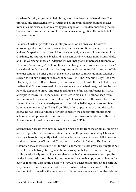Gurthang's twin, Anguirel, to help bring about the downfall of Gondolin). The presence and characterisation of Gurthang as an entity distinct from its master intensifies the sense of Doom already pressing in on Túrin, demonstrating that in Tolkien's retelling, supernatural forces and curses do significantly contribute to characters' fate.

Tolkien's Gurthang, while a valid interpretation on its own, can be viewed (chronologically if not causally) as an intermediate evolutionary stage between Kullervo's apathetic sword and Moorcock's actively malicious Stormbringer. Like Gurthang, Stormbringer is black and has a comparably sinister twin, Mournblade, and like Gurthang, it has an independent will that grants it increased autonomy. However, Stormbringer's hold on Elric is far stronger than any of its predecessors' since the albino's physical condition requires its ability to feed him the souls of his enemies (and loved ones), and in the end, it does not so much aid in its wielder's suicide as kill him outright in an act of betrayal. In "The Dreaming City," the first Elric story written, after destroying his cousin and people with the evil blade, Elric realises that "it was possessed of more sentience than he had imagined. Yet he was horribly dependent on it," and tries to rid himself of its toxic influence (479). He attempts to throw it into the sea, but it refuses to sink and he cannot keep from swimming out to reclaim it, understanding "He was beaten—the sword had won… He and the sword were interdependent… Bound by hell-forged chains and fatehaunted circumstance" (479-80). From Elric's first appearance in print, the reader knows he has lost; everything after that is merely the apocalyptic fallout of his actions as Champion and his surrender to his "runesword of black iron—the feared Stormbringer, forged by ancient and alien sorcery" (455).

Stormbringer has its own agenda, which brings it as far from the original Kullervo's sword as possible in terms of self-determination. Its genesis, created by Chaos to destroy Chaos, is frequently cited by others, but as far as anyone can tell it belongs neither to the forces of Law and Chaos nor to the Cosmic Balance. The Eternal Champion may theoretically fight for the Balance, yet his/her greatest struggle is not with Order or Entropy, but against the very weapon that gives him/her strength while paradoxically containing some element of his/her own essence. And yet the reader knows little more about Stormbringer or the fate that apparently "haunts" it, even as it defeats Elric (quite possibly a wayward agent of fate himself) to scorn the very Balance it supposedly helped preserve. While Gallagher claims, "Kullervo's decision to kill himself is the only way to truly remove vengeance from the order of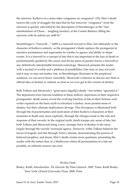the universe. Kullervo in a sense takes vengeance on vengeance" (35), Elric's death renews the cycle of struggle; the idea that he has removed "vengeance" from the universe is quickly subverted by the description of Stormbringer as the "last manifestation of Chaos… laughing mockery at the Cosmic Balance; filling the universe with its unholy joy (648-9)."

Stormbringer's "Farewell…" (649) is a farewell not just to Elric, but ultimately to the character of Kullervo entirely, as the protagonist's blade replaces the protagonist in narrative prominence and supersedes its wielder in agency and ability to shape events. It is a farewell to a concept of fate that is not important in the face of death or predominantly guided by the curses and divine plans of greater forces; a farewell to any definitively interpretable fictional cosmology. Moorcock presents the reader with a myriad of worlds and a plethora of possibilities. Fate may or may not exist and it may or may not matter, but, as Stormbringer illustrates to the perplexed audience, we can never know concretely. Moorcock's reticence to discuss any final or official idea of destiny is, indeed, as close as we ever get to his version of destiny.

Both Tolkien and Moorcock's "great epics dignif[y] death," but neither "ignore[s] it." The departures from *Kalevala* tradition in these authors' depictions of their respective protagonists' death scenes reveal the evolving function of fate in their fictions; each writer expands on the basic myth to introduce a darker, more present sense of destiny, but their ultimate implications diverge. This divergence is illustrated both through the characterisation and motivation of their Kullervo-characters at their moments of death and, more explicitly, through the changes made to the role and response of their swords. In the original myth, death trumps any sense of fate, but both Tolkien and Moorcock bring a new, stronger force of destiny to the story, largely through the swords' increased agency. However, while Tolkien balances the forces of tragedy and fate through Túrin's demise, demonstrating the powers of believed prophecy and doom, Elric's death creates more questions, presenting the reader with the notion that, in a Multiverse where all permutations of a tale are possible, no ultimate answer can exist.

#### Works Cited:

Bosley, Keith. Introduction. *The Kalevala*. By Elias Lönnrot. 1849. Trans. Keith Bosley. New York: Oxford University Press, 2008. Print.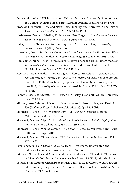Branch, Michael A. 1985. Introduction. *Kalevala: The Land of Heroes.* By Elias Lönnrot, 1849. Trans. William Forsell Kirby. London: Athlone Press. Xi-xxxiv. Print.

- Broadwell, Elizabeth. "Essë and Narn: Name, Identity, and Narrative in The Take of Túrin Turambar." *Mythlore* 17.2 (1990): 34-44. Print.
- Christensen, Peter G. "Sibelius, Kullervo, and Fate Tragedy." *Scandinavian-Canadian Studies/Etudes Scandinaves au Canada* 8 (1995): 79-101. Print.
- Gallagher, Ben. "Kalevala's Kullervo Sequence: A Tragedy of Hope." *Journal of Finnish Studies* 9.1 (2005): 27-38. Print.
- Greenfield, David. *The Entropy Exhibition: Michael Moorcock and the British 'New Wave' in science fiction.* London and Boston: Routledge & Kegan Paul, 1983. Print.
- Hämäläinen, Niina. "Elias Lönnrot's first Kullervo poem and its folk-poem models." *The Kalevala and the World's Traditional Epics.* Ed. Lauri Honko. Helsinki: Finnish Literature Society, 2002. 364-387. Print.
- Hoeven, Adriaan van der. "The Making of Kullervo." Hasselblatt, Cornelius, and Adriaan van der Hoeven, eds. *Finno-Ugric Folklore, Myth and Cultural Identity.* Proc. of the Fifth International Symposium on Finno-Ugric Languages, 7-9 June 2011, University of Groningen. Maastricht: Shaker Publishing, 2012. 73- 93. Print.
- Lönnrot, Elias. *The Kalevala*. 1849. Trans. Keith Bosley. New York: Oxford University Press, 2008. Print.
- Mitchell, Jesse. "Master of Doom by Doom Mastered: Heroism, Fate, and Death in *The Children of Húrin*." *Mythlore* 29.111/112 (2010): 87-114. Print
- Moorcock, Michael. "The Dreaming City." 1961. *Elric of Melniboné.* London: Millennium, 1993. 453-480. Print.
- Moorcock, Michael. "Epic Pooh." *Wizardry and Wild Romance: A study of epic fantasy.*  London: Victor Gollancz Ltd, 1987. 121-139. Print.
- Moorcock, Michael. Weblog comment. *Moorcock's Miscellany*. Multiverse.org, 6 Aug. 2004. Web. 18 April 2015.
- Moorcock, Michael. "Stormbringer, 1965. *Stormbringer.* London: Millennium, 1993. 457-649. Print.
- Pentikänen, Juha Y. *Kalevala Mythology.* Trans. Ritva Poom. Bloomington and Indianapolis: Indiana University Press, 1989. Print.
- Pridmore, Saxby, Jamshid Ahmadi and Zainab Abd Majeed. "Suicide in Old Norse and Finnish Folk Stories." *Australasian Psychiatry* 19.4 (2011): 321-324. Print.
- Tolkien, J.R.R. Letter to Christopher Tolkien. 7 July 1944. *The Letters of J.R.R. Tolkien*. Ed. Humphrey Carpenter and Christopher Tolkien. Boston: Houghton Mifflin Company, 1981. 86-88. Print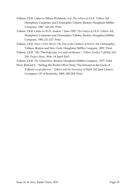- Tolkien, J.R.R. Letter to Milton Waldman. n.d. *The Letters of J.R.R. Tolkien*. Ed. Humphrey Carpenter and Christopher Tolkien. Boston: Houghton Mifflin Company, 1981. 143-161. Print
- Tolkien, J.R.R. Letter to W.H. Auden. 7 June 1955. *The Letters of J.R.R. Tolkien*. Ed. Humphrey Carpenter and Christopher Tolkien. Boston: Houghton Mifflin Company, 1981.211-217. Print
- Tolkien, J.R.R. *Narn I Chîn Húrin: The Tale of the Children of Húrin.* Ed. Christopher Tolkien. Boston and New York: Houghton Mifflin Company, 2007. Print.
- Tolkien, J.R.R. "On 'The Kalevala' or Land of Heroes." *Tolkien Studies* 7 (2010): 214- 245. *Project Muse.* Web. 18 April 2015.

Tolkien, J.R.R. *The Silmarillion.* Boston: Houghton Mifflin Company, 1977. Print

West, Richard C. "Setting the Rocket Off in Story: The *Kalevala* as the Germ of Tolkien's *Legendarium*." *Tolkien and the Invention of Myth.* Ed. Jane Chance. Lexington: UP of Kentucky, 2004. 285-294. Print.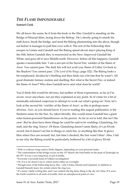## *THE FLAME IMPONDERABLE* **Samuel Cook**

We all know the scene, be it from the book or the film: Gandalf is standing on the Bridge of Khazad-dûm, facing down the Balrog<sup>1</sup>. He's shortly going to smash his staff down, break the bridge, and send the Balrog plummeting into the abyss, though not before it manages to pull him over with it. The rest of the Fellowship then escapes to Lórien and Gandalf and the Balrog spend eleven days<sup>2</sup> playing King of the Hill, before Gandalf dies, is resurrected as the New, Improved Gandalf the White, and goes off to save Middle-earth. However, before all this happens, Gandalf speaks a memorable line: 'I am a servant of the Secret Fire, wielder of the flame of Anor. You cannot pass. The dark fire will not avail you, flame of Udûn. Go back to the Shadow! You cannot pass.' (*The Lord of the Rings*, page 322). The Balrog looks a bit nonplussed, decides he's bluffing and then finds out a bit late that he wasn't. All good dramatic fantasy oration and duelling. But what is the Secret Fire, or indeed the flame of Anor? Who does Gandalf serve and what does he wield?

You'd think this would be obvious, but neither of those expressions, as far as I'm aware, recur anywhere, nor are they explained at any point. So it's time for a bit of minimally-informed conjecture to attempt to work out what's going on<sup>3</sup>. First, let's look at the second bit: 'wielder of the flame of Anor', as this is perhaps more obvious. *Anor*, as you should know if you're reading this august publication, is the Sindarin name for the Sun. So, taken literally, this would mean Gandalf has a giant solar-fusion-powered flamethrower on his person. As far as we're told, this isn't the case<sup>4</sup> . But he does have three things he could be said to be wielding: Glamdring, his staff, and the ring, Narya<sup>5</sup>. Of these, Glamdring doesn't seem likely; it's an Elvish sword, but it doesn't set fire to things or catch fire, or anything like that. It glows blue when Orcs are around, but, last time I checked, the Sun wasn't blue<sup>6</sup>. Also, I fail to see why the Balrog would be particularly bothered by a bit of glowy Elvish

<u>.</u>

<sup>&</sup>lt;sup>1</sup> With or without wings and/or fluffy slippers, depending on your personal tastes.

<sup>&</sup>lt;sup>2</sup> The confrontation of the bridge occurs on the 15<sup>th</sup> March; the final battle on the peak of Zirakzigil on the 25th. It was a very long bout, to put it mildly.

<sup>3</sup> Everyone's favourite kind of Tolkien investigation!

<sup>4</sup> Or, if it is, he doesn't use it, which seems rather an oversight.

<sup>5</sup> Though none of the Fellowship know this—only Círdan, Elrond and Galadriel, in addition to Gandalf himself, knew for certain where the ring was.

<sup>6</sup> It's sunny whilst writing this, and I can confirm the big shiny thing in the sky isn't blue. If it were, the Earth would be in all sorts of trouble, from an astrophysical point of view.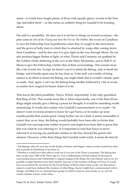metal—it would have fought plenty of Elves with equally-glowy swords in the First Age and killed them $1$ –so this seems an unlikely thing for Gandalf to be boasting about.

His staff is a possibility. He does use it to set fire to things on several occasions—the pine cones in *Out of the Frying and Into the Fire* in *The Hobbit*, the wood on Caradhras to save the Fellowship from hypothermia when they're caught in the snowstorm, and the grove of holly trees in which they're attacked by wargs after coming down from Caradhras—and he also uses it to give light on the way through Moria. He can also produce bigger flashes of light, as when Thorin and Company are grabbed by the Goblins whilst sheltering in the cave in the Misty Mountains, and in Hall 21 of Moria to give the Fellowship a better idea of their surroundings. This sounds more like a bit of solar fire. Except, he doesn't use it to attack the Balrog, only to break the bridge, and it breaks apart once he has done so. If the staff was worthy of being named in an effort to daunt the Balrog, one might think that it wouldn't shatter quite so easily. And, again, I can't see the Balrog being terribly bothered by a bit of wood, no matter how magical its bearer claims it to be.

That leaves the third possibility: Narya. Which, importantly, is the ruby-garnished Red Ring of Fire. This sounds more like it. More importantly, one of the three Elven Rings might actually give a Balrog a pause for thought; it would be something worth announcing. It would also explain why Gandalf's announcement is so cryptic—he doesn't want everyone present to know he's got Narya, so he makes up some mumbo-jumbo that sounds good. Going further out on a limb, it seems reasonable to expect that, as an Ainu, the Balrog would probably have been able to divine that Gandalf was carrying some trinket of power and might have been able to guess that that was what he was referring to<sup>2</sup>. It is important to note that Narya is never referred to as having any particular relation to the Sun, beyond the generic fire element. However, of the three things that Gandalf could wield, it seems the best fit.

<u>.</u>

<sup>&</sup>lt;sup>1</sup> The Balrogs, after all, were key in the deaths of Fëanor and Fingon, whose swords would have been just as potent as Glamdring, if not more so.

<sup>2</sup> Whether it would have been able to work out it was one of the Three is uncertain. The Balrog had been awake since 1980 of the Third Age (i.e. over a millennium), but had missed all the palaver surrounding Sauron and Celebrimbor's original forging of the Rings, the Last Alliance and so on. It's possible it might therefore have been entirely unaware of the existence of Rings of Power. It would have encountered the one borne by the Dwarf Kings of Moria when it first awoke, but that doesn't mean it would have deduced the existence of other Rings. Sauron might have communicated with it, though, and filled it in on what had been going on whilst it took its career break, so we can't be certain whether it knew of the Three.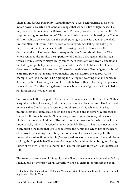There is one further possibility: Gandalf may have just been referring to his own innate powers. Nearly all of Gandalf's magic that we see is fire or light-based. He may have just been telling the Balrog 'Look, I'm really good with fire too, so there's no point trying to use that on me'. This would be borne out by his setting the 'flame of Anor', which, by extension, is the good, pure light of the Sun, against the 'dark fire' and 'flame of Udûn'<sup>1</sup> a few words later. In effect, he's telling the Balrog that they're two sides of the same coin—the cleansing fire of the Sun versus the destroying fire of Hell—and that, consequently, the Balrog should beware. The whole sentence also implies the superiority of Gandalf's fire against the Balrog's, which, I think, is where Narya really comes in. In terms of raw power, Gandalf and the Balrog are probably fairly evenly matched—they're both Maiar a level or so down from the likes of Sauron and Eönwë—but with Narya Gandalf gets that bit of extra (fire)power that means he outmatches and can destroy the Balrog. As the champion of Good that he is, he's giving the Balrog fair warning that, if it comes to it, he is capable of winning a straight-up fight between them, albeit at great personal pain and cost. That the Balrog doesn't believe him, starts a fight and is thus killed is not his fault. He tried to warn it.

Turning now to the first part of the sentence ('I am a servant of the Secret Fire'), this is equally unclear. However, I think an explanation can be advanced. The first point to note is that Gandalf says '*a* servant', not '*the* servant'. So whatever it is has multiple servants. It must also be on the side of Good and in some way superior to Gandalf, otherwise he wouldn't be serving it. And, fairly obviously, it has to be hidden in some way. And fiery. The only thing that seems to fit the bill is the Flame Imperishable, which is described in the *Ainulindalë*. Exactly what it is is never made clear, but it's the thing that Eru used to create the Ainur and which lies at the heart of the world, sustaining or creating it in some way. The crucial passage for the present discussion, though, is 'He [Melkor] had gone often alone into the void places seeking the Imperishable Flame; for desire grew hot within him to bring into Being things of his own…Yet he found not the Fire, for it is with Ilúvatar.' (*The Silmarillion*, p.16).

This excerpt makes several things clear: the Flame is in some way identical with Eru; Melkor, and by extension all his servants, wished to claim it for himself and be its

<u>.</u>

<sup>1</sup> Udûn being the Sindarin form of Utumno, Morgoth's original stronghold before his first defeat and imprisonment by the Valar.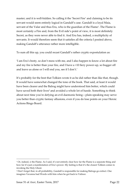master; and it is well-hidden. So calling it the 'Secret Fire' and claiming to be its servant would seem entirely logical in Gandalf's case. Gandalf is a loyal Maia, servant of the Valar and thus Eru, who is the guardian of the Flame<sup>1</sup>. The Flame is most certainly a Fire and, from the Evil side's point of view, it is most definitely Secret, as they were never able to find it. And Eru has, indeed, a multiplicity of servants. It would therefore seem that it satisfies all the criteria I posited above, making Gandalf's utterance rather more intelligible.

To sum all this up, you could recast Gandalf's rather cryptic expostulation as:

'I am Eru's besty, so don't mess with me, and I also happen to know a lot about fire and my fire is better than your fire, and I have a +10 fiery power-up, so bugger off and leave us alone or I will end you, see if I don't.'

It's probably for the best that Tolkien wrote it as he did rather than like that, though. It would have somewhat changed the tone of the book. That said, at least it would have been clearer and the Balrog might have understood him better, which could have saved both their lives<sup>2</sup> and avoided a whole lot of hassle. Something to think about next time you're defying an evil daemonic being—plain-speaking may serve you better than cryptic fantasy allusions, even if you do lose points on your Heroic Actions Bingo Board.

<sup>1</sup> Or, indeed, *is* the Flame. As I said, it's not entirely clear how far the Flame is a separate thing and how far it's just a manifestation of Eru's power. My feeling is that it's the closest Tolkien comes to invoking the Holy Ghost.

<sup>2</sup> Don't forget that, in all probability, Gandalf is responsible for making Balrogs go extinct. One imagines Yavanna had Words with him when he got back to Valinor.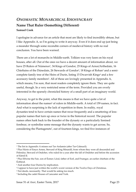## *ONOMASTIC MONARCHICAL IDIOSYNCRASY* **Name That Ruler (Something Different) Samuel Cook**

I apologise in advance for an article that most are likely to find incredibly obtuse, but I like Appendix A, so I'm going to write it anyway. Even if it does end up just being a meander through some recondite corners of medieval history with no real conclusion. You have been warned.

There are a lot of monarchs in Middle-earth. Tolkien was very keen on his royal houses, after all. Out of the ones we have a decent amount of information about, we have 25 Rulers of Númenor<sup>1</sup>, 34 Kings of Gondor, 25 Kings of Arnor/Arthedain, 16 Chieftains of the Dúnedain, 26 Stewards of Gondor<sup>2</sup>, 18 Kings of Rohan<sup>3</sup> and a semicomplete family tree of the Heirs of Durin, listing 15 Dwarvish Kings<sup>4</sup> and a few accessory family members<sup>5</sup>. All of these are lovingly presented in Appendix A, which means, I'm sure, that most readers completely ignore them. They are quite useful, though. In a very restricted sense of the term. Provided you are overly interested in the sparsely chronicled history of a small part of an imaginary world.

Anyway, to get to the point, what this means is that we have quite a lot of information about the names<sup>6</sup> of rulers in Middle-earth. A total of 159 names, in fact. And what is surprising is the lack of repetition in them. In reality, royal dynasties tend to have certain names that recur frequently and a smattering of lesspopular names that turn up once or twice in the historical record. The popular names often hark back to the founder of the dynasty or a particularly lionised forebear, or symbolise some message that the dynasty wants to get across. So, considering the Plantagenets<sup>7</sup>, out of fourteen kings, we find five instances of

<sup>&</sup>lt;sup>1</sup> The list in Appendix A misses out Tar-Ardamin (after Tar-Calmacil).

<sup>2</sup> Plus Húrin of Emyn Arnen, Steward of King Minardil, from whom they were all descended and Pelendur, Steward of Ondoher, who ruled for a year after the fall of Ondoher and before the accession of Eärnil II.

<sup>3</sup> Plus Elfwine the Fair, son of Éomer; Léod, father of Eorl, and Frumgar, an earlier chieftain of the Éothéod.

<sup>4</sup> And another four Durins by implication.

<sup>5</sup> I appear to have just written the world's worst version of the Twelve Days of Christmas.

<sup>6</sup> Not deeds, necessarily. That would be asking too much.

<sup>7</sup> Including the cadet Houses of Lancaster and York.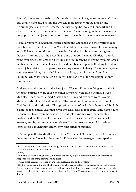'Henry'<sup>1</sup>, the name of the dynasty's founder and one of its greatest monarchs<sup>2</sup>, five Edwards, a name used to link the dynasty more firmly with the English and Arthurian past<sup>3</sup>, and three Richards, the first being the idolised Lionheart and the other two named predominantly in his image. The remaining monarch is, of course, the popularly hated John, after whom, unsurprisingly, no later rulers were named.

A similar pattern is evident in France among the Capetians and their various cadet branches, who ruled France from 987 AD until the final overthrow of the monarchy in 1848<sup>4</sup> . Here, out of 37 monarchs, we find 13 called Louis, a name dating back to the early Carolingians<sup>5</sup>, the preceding ruling dynasty; 7 named Charles, a popular name ever since Charlemagne; 6 Philips, the first receiving the name from his Greek mother, which then made it an established family name, people thinking he'd done a decent job; and 4 with that pan-European royal name of Henry. The remaining seven comprise two Johns, two called Francis, one Hugh, one Robert and one Louis-Phillippe, which isn't so much a different name as two of the most popular ones concatenated.

And, to prove the point that this isn't just a Western European thing, out of the 36 Ottoman Sultans, 6 were called Mehmet, another 5 were called Murad, 4 were Mustafas, 3 each were Ahmed, Osman and Selim, and two each were Bayezid, Mahmud, Abdulhamid and Suleiman. The remaining four were Orhan, Ibrahim, Abdulmecid and Abdulaziz. I'll stop listing names of real rulers there, but I think the examples above make clear that royal dynasties tend to repeat the same names quite frequently. This is even the case where multiple dynasties rule the same state— England had another five Edwards and two Henries after the Plantagenets, for instance, and Byzantium managed eleven Constantines and eight Michaels and Johns across a millennium and twenty-four different families.

Let's compare this to Middle-earth: of the 25 rulers of Númenor, none of them have the same name. None. It's the same for Rohan. Gondor manages three repetitions

<sup>1</sup> Six, if we include Henry the Young King, the eldest son of Henry II, but he was never sole ruler, so I've left him out of the total as well.

<sup>2</sup> Henry II.

<sup>&</sup>lt;sup>3</sup> Primarily Edward the Confessor, but, more generally, to pre-Norman times when Arthur was supposed to be running around, being great.

<sup>4</sup> With a small break occasioned by the French Revolution and Napoleon.

<sup>&</sup>lt;sup>5</sup> The first Louis being the son of Charlemagne, who was popularly regarded as one of the greatest French monarchs. This is wrong on several levels, not least that he was as much German as French, insofar as either of those labels meant anything in the 8<sup>th</sup> and 9<sup>th</sup> centuries, and did some not very nice things.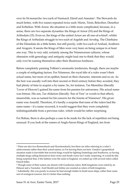over its 34 monarchs: two each of Narmacil, Eärnil and Atanatar<sup>1</sup>. The Stewards do much better, with five names repeated twice each: Húrin, Túrin, Belecthor, Denethor and Ecthelion. With Arnor, the situation is a little more complicated, because, in a sense, there are two separate dynasties: the Kings of Arnor (10) and the Kings of Arthedain (15). Even so, the kings of the united Arnor are all one-of-a-kind<sup>2</sup>, whilst the Kings of Arthedain struggle to two each of Argeleb and Arveleg. The Chieftains of the Dúnedain do a little better, but still poorly, with two each of Arahad, Arathorn and Aragorn. It seems the Kings of Men were very keen on being unique in at least one way. This is very odd, certainly among the Númenorean cultures, whose obsession with genealogy and antiquity might lead one to think that they would only ever be naming themselves after their illustrious forebears.

Before completely panning Tolkien's onomastic tendencies, though, there are maybe a couple of mitigating factors. For Númenor, the royal title of a ruler wasn't their actual name, but more of an epithet, based on their character, interests and so on. As the heir was usually well into their second or third century before they acceded, they had plenty of time to acquire a by-name. So, for instance, Tar-Meneldur (literally 'Lover of Heaven') gained his name from his passion for astronomy. His actual name was Irimon. His son, Tar-Aldarion (literally 'Son of Tree' or words to that effect), meanwhile, was so named for his concern for the forests of Númenor<sup>3</sup>. His given name was Anardil. Therefore, it's hardly a surprise that none of the rulers had the same name—if a name recurred, it would suggest that they were completely indistinguishable from a previous ruler, which would be rather surprising.

For Rohan, there is also perhaps a case to be made for the lack of repetition not being unusual. If you look at the names of Anglo-Saxon Kings of England, ten from

<sup>&</sup>lt;sup>1</sup> There are also two Romendacils and Hyarmendacils, but these are titles referring to a ruler's achievements rather than their actual names, so I'm leaving them out here. Gondor's geopolitical situation made it inevitable that several kings would be fighting Easterlings and Southrons, so having multiple kings calling themselves East-victor and South-victor isn't really surprising. It would be like being surprised that, if the fashion were the same in England, we ended up with several rulers called French-killer.

<sup>2</sup> Though some of their names are shared with Gondorian rulers. Both kingdoms were ruled by an Eldacar and a Tarondor. And Elendil and Isildur are counted as rulers of both kingdoms.

<sup>&</sup>lt;sup>3</sup> Admittedly, this was purely to ensure he had enough timber to build more ships, rather than some sort of ecological concern, but it's better than nothing.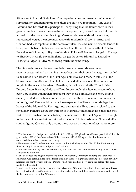$\ell$ Ethelstan $^{\rm 1}$  to Harold Godwineson $^{\rm 2}$ , who perhaps best represent a similar level of sophistication and naming practice, there are only two repetitions—one each of Edmund and Edward<sup>3</sup>. It is perhaps still surprising that the Rohirrim, with their greater number of named monarchs, never repeated any regnal names, but it can be argued that the more primitive Anglo-Saxon-style level of development they represented, versus the more medieval/early modern level seen in Arnor and Gondor, had less repetition in the names of rulers. Instead, name elements tended to be repeated between father and son, rather than the whole name—think Fréa to Fréawine to Goldwine, or Brytta to Walda to Folca to Folcwine to Fengel to Thengel to Théoden. In Anglo-Saxon England, we get the series Edmund to Eadred to Eadwig to Edgar to Edward, showing much the same thing.

The Stewards can also be forgiven their lower-than-would-be-expected repetitiveness: rather than naming themselves after their own dynasty, they tended to be named after heroes of the First Age, both Elves and Men. In total, 14 of the Stewards, i.e. slightly more than half, are named after someone illustrious who fought in the Wars of Beleriand: Denethor, Ecthelion, Orodreth, Túrin, Húrin, Turgon, Beren, Barahir, Hador and Dior. Interestingly, the Stewards seem to have been very scatter-gun in their approach: they chose both Elves and Men, people directly related to the Númenorean royal line and those who aren't, and major and minor figures<sup>4</sup>. One would perhaps have expected the Stewards to privilege the heroes of the Edain of the First Age and, perhaps, the Elves directly related to the royal line<sup>5</sup> . Perhaps, as the last outpost of Mannish Númenorean lore, they felt they had to do as much as possible to keep the memories of the First Age alive—though in that case, it is less obvious quite why the other 12 Stewards weren't named after similar figures. One can only assume there was also a need to reflect names more

<sup>1</sup> Æthelstan was the first person to claim the title of King of England, even if most people think it's his grandfather, Alfred the Great, who fulfilled that role. Alfred did a good job, but he only ever controlled the southern part of the country.

<sup>2</sup> There were some Danish rulers interspersed in this, including another Harold, but I'm ignoring them as being from a different dynasty and culture.

<sup>&</sup>lt;sup>3</sup> Æthelred the Unready was also Æthelred II, but Æthelred I was a much earlier King of Wessex, so I'm ignoring him here.

<sup>4</sup> Let's be honest: the original Denethor's main achievement, apart from bringing the Laiquendi to Beleriand, was getting killed in the First Battle. Not the most significant First-Age hero and certainly not from the point of view of Men—Denethor had been dead for a few centuries before Men even made it to Beleriand.

<sup>5</sup> I don't think they would have named themselves after Númenorean rulers—I feel that would have been felt as too close to *lèse-majesté* if it were the earlier rulers; and they would have wanted to forget the later ones and the fall of Númenor.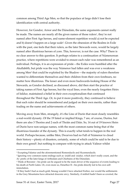common among Third Age Men, so that the populace at large didn't lose their identification with central authority.

However, for Gondor, Arnor and the Dúnedain, the same arguments cannot really be made. The names are nearly all the given names of those rulers<sup>1</sup>, they're not named after First Age heroes, and name-element repetition would a) not be expected and b) doesn't happen on a large scale<sup>2</sup>. Given the obsession of the Realms in Exile with the past, one feels that their rulers, as the later Stewards were, would be largely named after illustrious heroes of yore. This, however, is not the case. Why? There is no clear answer to this question. It perhaps relates to a continuation of Númenorean practice, where repetitions were avoided to ensure each ruler was remembered as an individual. Perhaps, it is an expression of pride—the Exiles were humbled after the Akallabêth, but pride was the way Númenor had fallen and was ever a weakness among Men<sup>3</sup> that could be exploited by the Shadow—the majority of rulers therefore wanted to differentiate themselves and their children from their own forebears, no matter how illustrious. The lesser and even more backwards-looking House of the Stewards, as Gondor declined, as discussed above, did then start the practice of taking names of First Age heroes, but the royal lines, even the nearly forgotten Heirs of Isildur, maintained a belief in their own exceptionalism that continued throughout the Third Age. Or, to put it more positively, they continued to believe that each ruler should be remembered and judged on their own merits, rather than trading on the name and achievements of others.

Moving away from Men, strangely, it's the Line of Durin that most closely resembles a real-world dynasty. Of the 19 listed or implied Kings, 7 are, of course, Durins, but there are also 3 Thorins and 2 each of Thráin and Dáin. So, 14 out of 19 known Heirs of Durin have non-unique names, with the most common name being that of the illustrious founder of the dynasty. This is exactly what tends to happen in the real world. Perhaps because, unlike Men, Dwarves had no Fall of Númenor to cloud their history—plenty of disasters, certainly, some of which could be said to be due to their own greed<sup>4</sup>, but nothing to compare with trying to attack Valinor whilst

<sup>&</sup>lt;sup>1</sup> Excepting Falastur and the aforementioned Romendacils and Hyarmendacils.

<sup>2</sup> Ignoring very common name endings such as -(n)dil and -(n)dur, which don't really count, and the Ar- prefix of the later kings of Arthedain and Chieftains of the Dúnedain.

<sup>3</sup> Think of Boromir—his pride can be argued to be the main driver of the sequence of events leading to his death at Parth Galen. Or, even more so, Denethor II—his pride directly led to his own selfimmolation.

<sup>4</sup> If they hadn't had as much gold, Smaug wouldn't have attacked Erebor, nor would the settlements in the Grey Mountains have attracted draconic envy. Similarly, if mithril hadn't been so coveted, the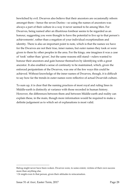bewitched by evil. Dwarves also believe that their ancestors are occasionally reborn amongst them—hence the seven Durins—so using the names of ancestors was always a part of their culture in a way it never seemed to be among Men. For Dwarves, being named after an illustrious forebear seems to be regarded as an honour, suggesting you were thought to have the potential to live up to that person's achievements<sup>1</sup>, rather than a negation of your individual exceptionalism and identity. There is also an important point to note, which is that the names we have for the Dwarves are not their true, inner names, but outer names they took or were given to them by other peoples in the area. For the kings, one imagines it was a case of 'took' rather than 'given', but the same reasons still stand—rulers wanted to honour their ancestors and gain honour themselves by identifying with a great ancestor. It also enabled a sense of continuity to be maintained, which, given the enforced peripatetism of the Dwarves, was one of the few ways this could be achieved. Without knowledge of the inner names of Dwarves, though, it is difficult to say how far the trends in outer names were reflective of actual Dwarvish culture.

To sum up, it is clear that the naming practices of most royal and ruling lines in Middle-earth is distinctly at variance with those recorded in human history. However, the differences between them and between Middle-earth and reality can explain these, in the main, though more information would be required to make a definite judgement as to which set of explanations is most valid.

Balrog might never have been woken. Dwarves were, to some extent, victims of their own success more than anything else.

<sup>&</sup>lt;sup>1</sup> Or might even *be* that person, given their attitudes to reincarnation.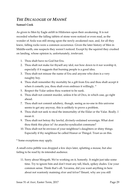## *THE DECALOGUE OF MANWË*

### **Samuel Cook**

As given to Men by Eagle airlift in Hildorien upon their awakening. It is not recorded whether the falling tablets of stone were noticed or even read, as the wonder of Arda was still strong upon the newly awakened race, and, for all they knew, falling rocks were a common occurrence. Given the later history of Men in Middle-earth, one suspects they weren't noticed. Except by the squirrel they crushed on landing, whose opinion is, unfortunately, irrelevant.

- 1. Thou shalt have no God but Eru.
- 2. Thou shalt not make for thyself any idol, nor bow down to it nor worship it, especially if it suggests that burning people is a good idea.
- 3. Thou shalt not misuse the name of Eru and anyone who does is a very naughty boy.
- 4. Thou shalt remember thy mortality be a gift from Eru and thou shalt accept it when it cometh; yea, thou shalt even embrace it willingly. \*
- 5. Respect the Valar unless thou wantest to be sunk.
- 6. Thou shalt not commit murder, unless it be of Orcs, in which case, go right ahead.
- 7. Thou shalt not commit adultery, though, seeing as no-one in this universe seems to get any anyway, this is unlikely to prove a problem.
- 8. Thou shalt not seek to steal the immortality of the Eldar or the Valar. Really. I mean it.
- 9. Thou shalt not betray thy lawful, divinely-ordained sovereign. What dost thou think this place is? An anarcho-syndicalist commune?
- 10. Thou shalt not be envious of your neighbour's daughters or shiny things. Especially if thy neighbour be called Fëanor or Thingol. Trust us on this.

\* Some exceptions may apply.

A small extra pebble was dropped a few days later, splatting a mouse, but also failing to be read by its intended audience.

11. Sorry about Morgoth. We're working on it, honestly. It might just take some time. Try to ignore him and don't trust any tall, black, spikey dudes. Use your common sense. Think that's all. Yavanna, did you want anything in here about not wantonly maiming *olvar* and *kelvar*? Ilmarë, why are you still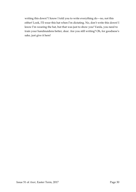writing this down? I know I told you to write everything do—no, not this either! Look, I'll wear this hat when I'm dictating. No, don't write this down! I know I'm wearing the hat, but that was just to show you! Varda, you need to train your handmaidens better, dear. Are you still writing? Oh, for goodness's sake, just give it here!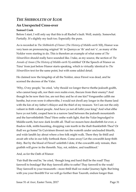## *THE SHIBBOLETH OF IGOR*

### **An Unexpected Cross-over**

### **Samuel Cook**

Before I start, I will only say that this is all Rachel's fault. Well, mainly. Somewhat. Partially. It's slightly my fault too. Especially the puns.

As is recorded in *The Shibboleth of Fëanor* (*The History of Middle-earth* XII), Fëanor was very keen on pronouncing original 'th' in Quenya as 'th' and not 's', as many of the Noldor were starting to do. This is therefore an example of what some of *The Silmarillion* should really have sounded like. I take, as my source, the section of *The Annals of Aman* (*The History of Middle-earth* X) entitled 'Of the Speech of Fëanor on Túna' from just before Fëanor starts speaking, which is virtually identical to *The Silmarillion* text for the same point, but with some added detail.

He claimed now the kingship of all the Noldor, since Finwë was dead, and he scorned the decrees of the Valar.

'Why, O my people,' he cried, 'why thould we longer therve thethe jealouth godth, who cannot keep uth, nor their own realm even, thecure from their enemy? And though he be now their foe, are not they and he of one kin? Vengeanthe callth me henthe, but even were it otherwithe, I would not dwell any longer in the thame land with the kin of my father's thlayer and the thief of my treasure. Yet I am not the only valiant in thith valiant people. And have ye not all lotht your king? And what elthe have ye not lotht, cooped here in a narrow land between the jealouth mountainth and the harvethtlethth Thea? Here onthe wath light, that the Valar begrudged to Middle-earth, but now dark levelth all. Thall we mourn here deedlethth for ever, a thadow-folk, mitht-haunting, dropping vain tearth in the thalt thanklethth Thea? Or thall we go home? In Cuiviénen thweet ran the waterth under unclouded thtarth, and wide landth lay about where a free folk might walk. There they lie thtill and await uth who in our folly forthook them. Come away! Let the cowardth keep thith thity. But by the blood of Finwë! unlethth I dote, if the cowardth only remain, then grathth will grow in the threetth. Nay, rot, mildew, and toadthtool.'

And, as for the Oath of Fëanor:

'Fair thall the end be,' he cried, 'though long and hard thall be the road! Thay farewell to bondage! But thay farewell altho to eathe! Thay farewell to the weak! Thay farewell to your treasureth—more thtill thall we make! Journey light. But bring with you your thordth! For we will go further than Tauroth, endure longer than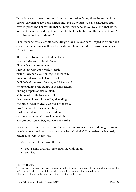Tulkath: we will never turn back from purthuit. After Morgoth to the endth of the Earth! War thall he have and hatred undying. But when we have conquered and have regained the Thilmarilth that he thtole, then behold! We, we alone, thall be the lordth of the unthullied Light, and mathterth of the blithth and the beauty of Arda! No other rathe thall outht uth!'

Then Fëanor swore a terrible oath. Straightway his seven sons<sup>1</sup> leaped to his side and each took the selfsame oath; and red as blood shone their drawn swords in the glare of the torches.

'Be he foe or friend, be he foul or clean, brood of Morgoth or bright Vala, Elda or Maia or Aftercomer, Man yet unborn upon Middle-earth, neither law, nor love, nor league of thordth, dread nor danger, not Doom itthelf, thall defend him from Fëanor, and Fëanor'th kin, whotho hideth or hoardeth, or in hand taketh, finding keepeth or afar cathteth a Thilmaril. Thith thwear we all: death we will deal him ere Day'th ending, woe unto world'th end! Our word hear thou, Eru Allfather! To the everlathting Darknethth doom uth if our deed faileth. On the holy mountain hear in witnethth and our vow remember, Manwë and Varda!'

From this, we can clearly see that Fëanor was, in origin, a Discworldian Igor<sup>2</sup>. We are certainly never told how many hearts he had. Or digits<sup>3</sup>. Or whether his famously bright eyes were, in fact, his.

Points in favour of this novel theory:

- Both Fëanor and Igors like tinkering with things
- Both lisp

<sup>&</sup>lt;sup>1</sup> Theven Thonth?

<sup>2</sup> It is perhaps worth saying that, if you're not at least vaguely familiar with the Igor characters created by Terry Pratchett, the rest of this article is going to be somewhat incomprehensible.

<sup>&</sup>lt;sup>3</sup> The Seven Thumbs of Fëanor? I'm not apologising for that. Ever.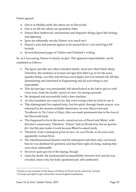Points against:

- One is in Middle-earth; the others are in Discworld
- One is an Elf; the others are (probably) Men
- Fëanor likes smithwork, mechanisms and linguistic things; Igors like biology and lightning
- Igors are inherently servile; Fëanor very much isn't
- Fëanor's sons and parents appear to be normal Elves<sup>1</sup>, not weird Igor-Elf hybrids
- Several thousand pages of Tolkien and Pratchett's writing

So, as I was saying, Fëanor is clearly an Igor. This apparent improbability can be explained as follows:

- The Igors, just like any other extended family, must have their black sheep. Therefore, the existence of at least one Igor that didn't go in for the scars, squishy things, servility and obvious extra digits, but was instead tall, Elf-like, domineering and interested in Engineering and all such things is not improbable
- This deviant Igor was presumably left alone/locked in the loft to get on with what were, from his family's point of view, his strange pursuits
- He designed and successfully built a time machine
- As time machines are wont to do, this went wrong when he tried to use it
- This disintegrated his original body, but his spirit, through frantic prayer, was rehoused in the nearest available dimension, as were Rincewind and Twoflower in *The Colour of Magic*; this was made permanent due to the loss of his Discworld body
- This happened to be in the newly conceived son of Finwe and Míriel, with Ilúvatar's connivance. Therefore, 'Fëanor' had an Elvish *hröa*, but an Igorian *fëa*<sup>2</sup> , but Ilúvatar made it work because Blind Io asked nicely
- Therefore, from a biological point of view, he was Elvish, so his sons were apparently normal Elves
- The interdimensional disaster and his subsequent salvation only convinced him he was destined for greatness and had been right all along, making him even more unbearable
- He never quite got rid of the lisping, though
- Upon his death, the fundamental incompatibility between *hröa* and *fëa* was revealed, hence why his body spontaneously self-combusted

<sup>1</sup> Insofar as any member of the House of Fëanor or Finwë can be said to be 'normal'.

<sup>2</sup> Or body and spirit to give them their closest English translations.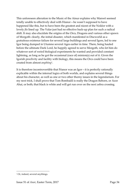This unforeseen alteration to the Music of the Ainur explains why Manwë seemed totally unable to effectively deal with Fëanor—he wasn't supposed to have happened like this, but to have been the greatest and nicest of the Noldor with a lovely *fëa* lined up. The Valar just had no effective back-up plan for such a radical shift. It may also elucidate the origins of the Orcs, Dragons and various other spawn of Morgoth: clearly, the initial disaster, which manifested in Discworld as a gratuitous existence failure for several large buildings and several Igors, led to one Igor being dumped in Utumno several Ages earlier in time. There, being hauled before the ultimate Dark Lord, he happily agreed to serve Morgoth, who let him do whatever sort of weird biological experiments he wanted and provided constant lightning, as long as he got the occasional (race of) minion(s) out of it. Given the Igorish proclivity and facility with biology, this means the Orcs could have been created from almost *anything*<sup>1</sup> .

It is therefore incontrovertible that Fëanor was an Igor—it is perfectly rationally explicable within the internal logics of both worlds, and explains several things about his character, as well as one or two other thorny issues in the legendarium. For my next trick, I shall prove that Tom Bombadil is really the Dragon Reborn, or Azor Ahai, or both; that black is white and will get run over on the next zebra crossing.

<sup>&</sup>lt;sup>1</sup> Or, indeed, several anythings.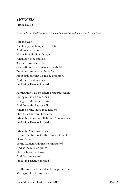### *THENGELS* **James Baillie**

*Editor's Note: Modified from "Angels" by Robbie Williams, and to that tune.*

- I sit and wait As Thengel contemplates his fate And does he know His realm will fill with woe When he's grey and old? 'Cause I have been told Of creations in Saruman's stronghold, But when our enemies have fled, From stallions that we raised and bred, And I see the dawn is red I'm loving Thengel instead
- For through it all the riders bring protection Riding out in all directions, Going to right some wrongs. And down the Rauros falls Where e'er my steed may take me The Uruk-hai won't break me When they come to call; he won't forsake me I'm loving Thengel instead
- When the Mark was weak He and Steelsheen, for the throne did seek, I look above To the Golden Hall that he's master of And as the muster grows I hear a horn that blows, And the dawn is red I'm loving Thengel instead

For through it all the riders bring protection Riding out in all directions,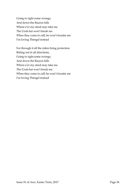Going to right some wrongs. And down the Rauros falls Where e'er my steed may take me The Uruk-hai won't break me When they come to call; he won't forsake me I'm loving Thengel instead

For through it all the riders bring protection Riding out in all directions, Going to right some wrongs. And down the Rauros falls Where e'er my steed may take me The Uruk-hai won't break me When they come to call; he won't forsake me I'm loving Thengel instead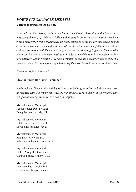## *POETRY FROM EAGLE DEBATES*

### **Various members of the Society**

*Editor's Note: Most terms, the Society holds an Eagle Debate. According to this format, a question is chosen (e.g. "Which of Tolkien's characters is the best wizard?"), each participant picks a character or group of characters who they believe to be the answer, and several rounds are held wherein one participant is eliminated—or, to put it more colourfully, thrown off the eagle—every round, with the winner being the last person standing. Typically, these debates are rather silly; for the aforementioned wizards debate, one of the rounds was a job interview for a wizardly teaching position. We have a tradition of holding a poetry contest as one of the rounds. Some of the poems from Eagle Debates of the 2016-17 academic year are shown here.*

#### "Most annoying character"

### **Eleanor Smith (for Túrin Turambar)**

*Author's Note: I have used a Welsh poetic metre called* englyn milwr*, which requires threeline stanzas with end-rhyme, and lines of seven syllables each (although of course these don't really count as* englynion milwr*, being in English).*

My nickname is Mormegil; I use my black sword to kill; Beleg lies dead, bloody, still.

My nickname is Mormegil; I claim not to have free will; Loved ones left alive: *nihil*.

My nickname is Mormegil; Finduilas's cry was shrill When she called me, that went ill.

My nickname is Mormegil; I killed Morgoth's Orcs until Glaurung came, with evil will.

My nickname is Mormegil; I've racked up a mighty bill Of blood-debts upon this hill.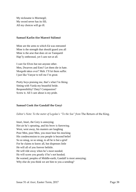My nickname is Mormegil; My sword never has its fill; All my choices will go ill.

#### **Samuel Karlin (for Manwë Súlimo)**

Mine are the arms to which Eä was entrusted Mine is the strength that should guard you all Mine is the arse that does sit on Taniquetil Hap'ly enthroned, yet I care not at all.

I care for Elves but not anyone other. Men, Dwarves and Ents? Let them die in hate. Morgoth takes over? Meh. I'll let them suffer. I just like Vanyar to tell me I'm great.

Pretty boys praising me, that's what I'm liking. Sitting with Varda my beautiful bride. Responsibility? Duty? Compassion? Screw it. All I care about is my pride.

#### **Samuel Cook (for Gandalf the Grey)**

*Editor's Note: To the meter of Legolas's "To the Sea" from The Return of the King.* 

Istari, Istari, the Grey is annoying; Hot air he's spouting, and his brow is furrowing. West, west away, his masters are laughing Poor Men, poor Men, you must bear his mocking His condescension to you people is beyond belief So so smug, so so smug, to all he is but a grief For he claims to know all, but dispenses little He will all of you forever belittle. He will ride away when he's most needed; He will scorn you greatly if he's not heeded; Be warned, peoples of Middle-earth, Gandalf is most annoying; Why else do you think we are him to you a-sending?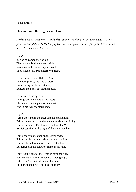#### "Best couple"

#### **Eleanor Smith (for Legolas and Gimli)**

*Author's Note: I have tried to make these sound something like the characters, so Gimli's poem is octosyllabic, like the Song of Durin, and Legolas's poem is fairly careless with the metre, like his Song of the Sea.*

#### *Gimli*

In Kheled-zâram once of old The stars made all the water bright; In mountain darkness deep and cold, They filled old Durin's heart with light.

I saw the caverns of Helm's Deep, The living stone, the lake of glass; I saw the crystal halls that sleep Beneath the peak; but let them pass.

I saw him in the open air, The sight of him could banish fear: The mountain's night was in his hair, And in his eyes the starry mere.

#### *Legolas*

Fair is the wind in the trees singing and sighing, Fair is the wave on the shore and the white gull flying, Fair is the sunlight's glow as it sinks in the West, But fairest of all is the sight of the one I love best.

Fair is the bright elanor on the green sward, Fair is the clear water rushing through the ford, Fair are the autumn leaves, the forest is fair, But fairer still the colour of flame in his hair.

Fair was the light of the Trees in days gone by, Fair are the stars of the evening drawing nigh, Fair is the Sea that calls me to its shore, But fairest and best is he: I ask no more.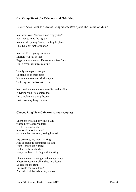#### **Cici Carey-Stuart (for Celeborn and Galadriel)**

*Editor's Note: Based on "Sixteen Going on Seventeen" from* The Sound of Music*.*

You wait, young Sinda, on an empty stage For rings to keep the light on Your world, young Sinda, is a fragile place That Noldor want to fight on

You are Teleri going on Sinda, Mortals will fall in line Eager young men and Dwarves and fast Ents Will ply you with trees so fine

Totally unprepared are you To stand up to their pleas Naïve and sweet and kind are you To beings we outlive with ease

You need someone more beautiful and terrible Advising your life choices too I'm a Noldo and a ring-bearer I will do everything for you

#### **Choong Ling Liew-Cain (for various couples)**

There once was a pony called Bill whose life was truly a thrill. His friends suddenly left him for six months bereft and then Sam returned, loving him still.

My precious, my love, is a ring, And to precious sometimes we sing. With Hobbits we riddled, Filthy Hobbitses fiddled, Nasty Hobbits took ring with the sting.

There once was a Ringwraith named Steve whose companions all wished he'd leave. So close to the Ring, But could see not a thing, And killed all friends in fir'y cleave.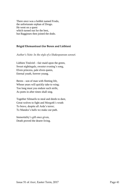There once was a hobbit named Frodo, the unfortunate orphan of Drogo. He went on a quest which turned out for the best, but Bagginses then joined the dodo.

#### **Brigid Ehrmantraut (for Beren and Lúthien)**

*Author's Note: In the style of a Shakespearean sonnet.*

Lúthien Tinúviel—fair maid upon the green, Sweet nightingale, sweeter evening's song, Elven princess, pale elven queen, Eternal youth, forever young.

Beren—son of man with fleeting life, Whose years will quickly take to wing; Too long must you endure such strife, As poets in after times shall sing.

Together Silmarils to steal and deeds to dare, Great wolves to fight and Morgoth's wrath To brave, despite all Arda's terror; To Mandos's halls we make our path.

Immortality's gift once given, Death proved the dearer living.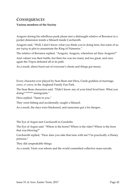## *CONSEQUENCES*

### **Various members of the Society**

Aragorn during his rebellious punk phase met a distraught relative of Boromor in a pocket dimension inside a Silmaril inside Carcharoth.

Aragorn said, "Well, I don't know what you think you're doing here, but some of us are *trying* to plot to assassinate the King of Númenor."

The relative of Boromor replied, "Aragorn, Aragorn, wherefore art thou Aragorn?"

And valiant was their battle, but their foe was too many and too great, and once again the Tripos defeated all in its path.

As a result, aliens burst out of everyone's chests and things got messy.

Every character ever played by Sean Bean met Hera, Greek goddess of marriage, cows, *et cetera*, in the Angband Family Fun Park.

The Sean Bean characters said, "Didn't know any of your kind lived here. What you doing? \*\*\*\*\*\*\* immigrants."

Hera replied: "Same to you."

They went fishing and accidentally caught a Silmaril.

As a result, the days were blackened, and sunscreen got a lot cheaper.

The Eye of Argon met Carcharoth in Gondolin.

The Eye of Argon said: "Where is the horse? Where is the rider? Where is the horn that was blowing?"

Carcharoth replied, "How dare you take that tone with me? I'm practically a Disney princess."

They did unspeakable things.

As a result, Túrin was reborn and the world committed collective mass suicide.